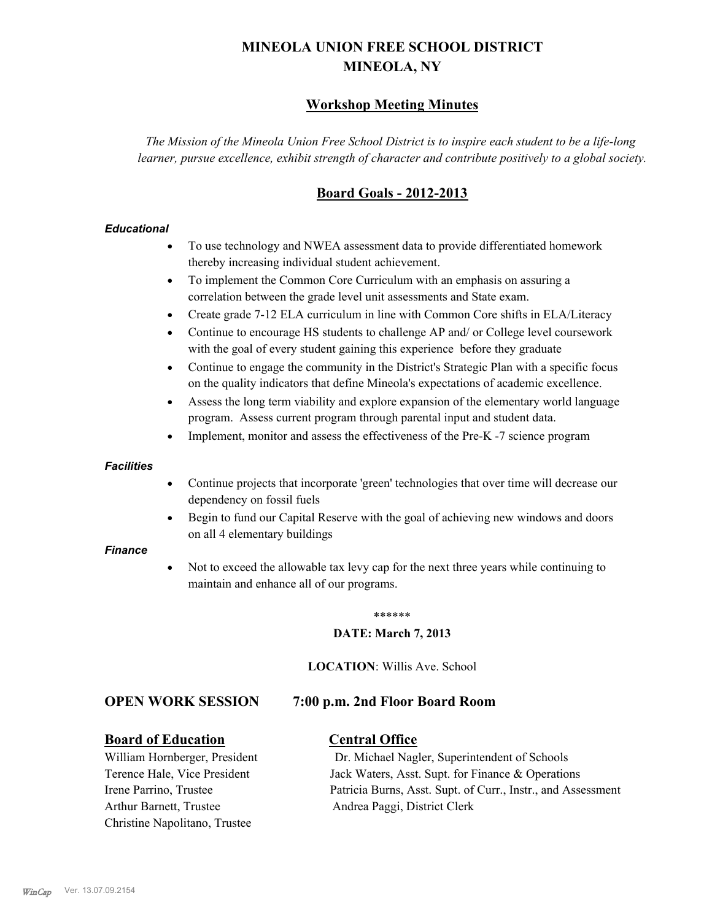# **MINEOLA UNION FREE SCHOOL DISTRICT MINEOLA, NY**

# **Workshop Meeting Minutes**

*The Mission of the Mineola Union Free School District is to inspire each student to be a life-long learner, pursue excellence, exhibit strength of character and contribute positively to a global society.*

# **Board Goals - 2012-2013**

#### *Educational*

- · To use technology and NWEA assessment data to provide differentiated homework thereby increasing individual student achievement.
- · To implement the Common Core Curriculum with an emphasis on assuring a correlation between the grade level unit assessments and State exam.
- Create grade 7-12 ELA curriculum in line with Common Core shifts in ELA/Literacy
- Continue to encourage HS students to challenge AP and/ or College level coursework with the goal of every student gaining this experience before they graduate
- · Continue to engage the community in the District's Strategic Plan with a specific focus on the quality indicators that define Mineola's expectations of academic excellence.
- Assess the long term viability and explore expansion of the elementary world language program. Assess current program through parental input and student data.
- Implement, monitor and assess the effectiveness of the Pre-K -7 science program

#### *Facilities*

- · Continue projects that incorporate 'green' technologies that over time will decrease our dependency on fossil fuels
- Begin to fund our Capital Reserve with the goal of achieving new windows and doors on all 4 elementary buildings

#### *Finance*

Not to exceed the allowable tax levy cap for the next three years while continuing to maintain and enhance all of our programs.

#### \*\*\*\*\*\*

#### **DATE: March 7, 2013**

**LOCATION**: Willis Ave. School

### **OPEN WORK SESSION 7:00 p.m. 2nd Floor Board Room**

### **Board of Education Central Office**

Arthur Barnett, Trustee Andrea Paggi, District Clerk Christine Napolitano, Trustee

William Hornberger, President Dr. Michael Nagler, Superintendent of Schools Terence Hale, Vice President Jack Waters, Asst. Supt. for Finance & Operations Irene Parrino, Trustee Patricia Burns, Asst. Supt. of Curr., Instr., and Assessment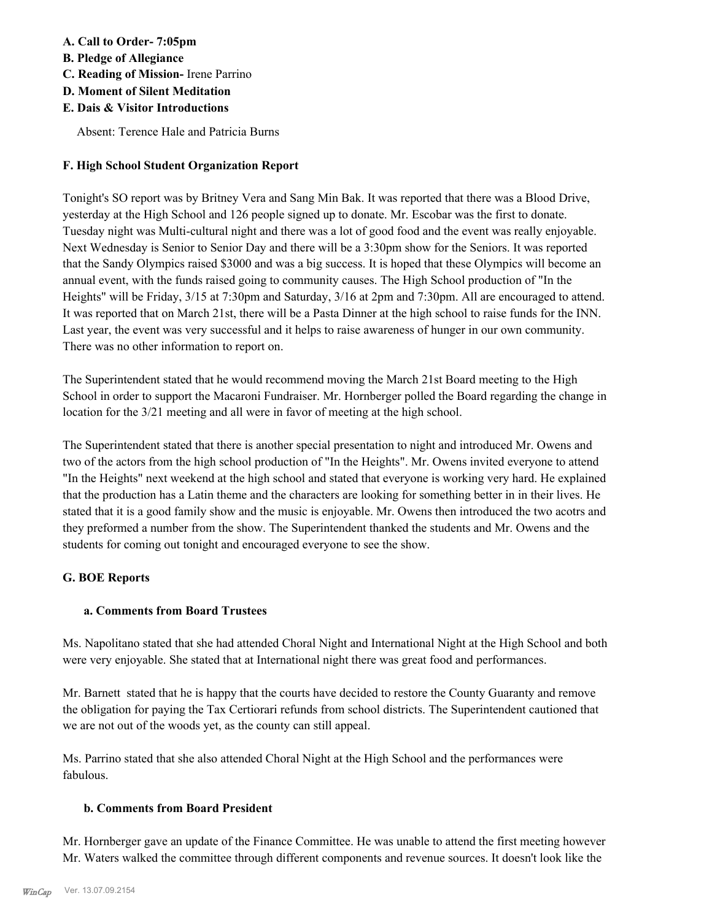## **A. Call to Order- 7:05pm**

- **B. Pledge of Allegiance**
- **C. Reading of Mission-** Irene Parrino
- **D. Moment of Silent Meditation**
- **E. Dais & Visitor Introductions**

Absent: Terence Hale and Patricia Burns

# **F. High School Student Organization Report**

Tonight's SO report was by Britney Vera and Sang Min Bak. It was reported that there was a Blood Drive, yesterday at the High School and 126 people signed up to donate. Mr. Escobar was the first to donate. Tuesday night was Multi-cultural night and there was a lot of good food and the event was really enjoyable. Next Wednesday is Senior to Senior Day and there will be a 3:30pm show for the Seniors. It was reported that the Sandy Olympics raised \$3000 and was a big success. It is hoped that these Olympics will become an annual event, with the funds raised going to community causes. The High School production of "In the Heights" will be Friday, 3/15 at 7:30pm and Saturday, 3/16 at 2pm and 7:30pm. All are encouraged to attend. It was reported that on March 21st, there will be a Pasta Dinner at the high school to raise funds for the INN. Last year, the event was very successful and it helps to raise awareness of hunger in our own community. There was no other information to report on.

The Superintendent stated that he would recommend moving the March 21st Board meeting to the High School in order to support the Macaroni Fundraiser. Mr. Hornberger polled the Board regarding the change in location for the 3/21 meeting and all were in favor of meeting at the high school.

The Superintendent stated that there is another special presentation to night and introduced Mr. Owens and two of the actors from the high school production of "In the Heights". Mr. Owens invited everyone to attend "In the Heights" next weekend at the high school and stated that everyone is working very hard. He explained that the production has a Latin theme and the characters are looking for something better in in their lives. He stated that it is a good family show and the music is enjoyable. Mr. Owens then introduced the two acotrs and they preformed a number from the show. The Superintendent thanked the students and Mr. Owens and the students for coming out tonight and encouraged everyone to see the show.

# **G. BOE Reports**

# **a. Comments from Board Trustees**

Ms. Napolitano stated that she had attended Choral Night and International Night at the High School and both were very enjoyable. She stated that at International night there was great food and performances.

Mr. Barnett stated that he is happy that the courts have decided to restore the County Guaranty and remove the obligation for paying the Tax Certiorari refunds from school districts. The Superintendent cautioned that we are not out of the woods yet, as the county can still appeal.

Ms. Parrino stated that she also attended Choral Night at the High School and the performances were fabulous.

# **b. Comments from Board President**

Mr. Hornberger gave an update of the Finance Committee. He was unable to attend the first meeting however Mr. Waters walked the committee through different components and revenue sources. It doesn't look like the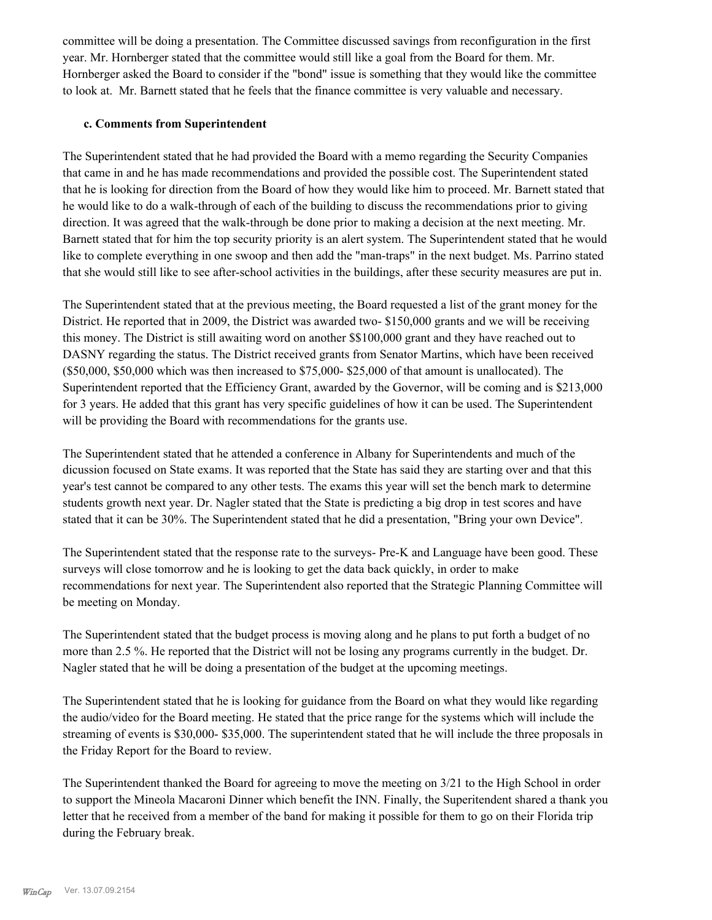committee will be doing a presentation. The Committee discussed savings from reconfiguration in the first year. Mr. Hornberger stated that the committee would still like a goal from the Board for them. Mr. Hornberger asked the Board to consider if the "bond" issue is something that they would like the committee to look at. Mr. Barnett stated that he feels that the finance committee is very valuable and necessary.

#### **c. Comments from Superintendent**

The Superintendent stated that he had provided the Board with a memo regarding the Security Companies that came in and he has made recommendations and provided the possible cost. The Superintendent stated that he is looking for direction from the Board of how they would like him to proceed. Mr. Barnett stated that he would like to do a walk-through of each of the building to discuss the recommendations prior to giving direction. It was agreed that the walk-through be done prior to making a decision at the next meeting. Mr. Barnett stated that for him the top security priority is an alert system. The Superintendent stated that he would like to complete everything in one swoop and then add the "man-traps" in the next budget. Ms. Parrino stated that she would still like to see after-school activities in the buildings, after these security measures are put in.

The Superintendent stated that at the previous meeting, the Board requested a list of the grant money for the District. He reported that in 2009, the District was awarded two- \$150,000 grants and we will be receiving this money. The District is still awaiting word on another \$\$100,000 grant and they have reached out to DASNY regarding the status. The District received grants from Senator Martins, which have been received (\$50,000, \$50,000 which was then increased to \$75,000- \$25,000 of that amount is unallocated). The Superintendent reported that the Efficiency Grant, awarded by the Governor, will be coming and is \$213,000 for 3 years. He added that this grant has very specific guidelines of how it can be used. The Superintendent will be providing the Board with recommendations for the grants use.

The Superintendent stated that he attended a conference in Albany for Superintendents and much of the dicussion focused on State exams. It was reported that the State has said they are starting over and that this year's test cannot be compared to any other tests. The exams this year will set the bench mark to determine students growth next year. Dr. Nagler stated that the State is predicting a big drop in test scores and have stated that it can be 30%. The Superintendent stated that he did a presentation, "Bring your own Device".

The Superintendent stated that the response rate to the surveys- Pre-K and Language have been good. These surveys will close tomorrow and he is looking to get the data back quickly, in order to make recommendations for next year. The Superintendent also reported that the Strategic Planning Committee will be meeting on Monday.

The Superintendent stated that the budget process is moving along and he plans to put forth a budget of no more than 2.5 %. He reported that the District will not be losing any programs currently in the budget. Dr. Nagler stated that he will be doing a presentation of the budget at the upcoming meetings.

The Superintendent stated that he is looking for guidance from the Board on what they would like regarding the audio/video for the Board meeting. He stated that the price range for the systems which will include the streaming of events is \$30,000- \$35,000. The superintendent stated that he will include the three proposals in the Friday Report for the Board to review.

The Superintendent thanked the Board for agreeing to move the meeting on 3/21 to the High School in order to support the Mineola Macaroni Dinner which benefit the INN. Finally, the Superitendent shared a thank you letter that he received from a member of the band for making it possible for them to go on their Florida trip during the February break.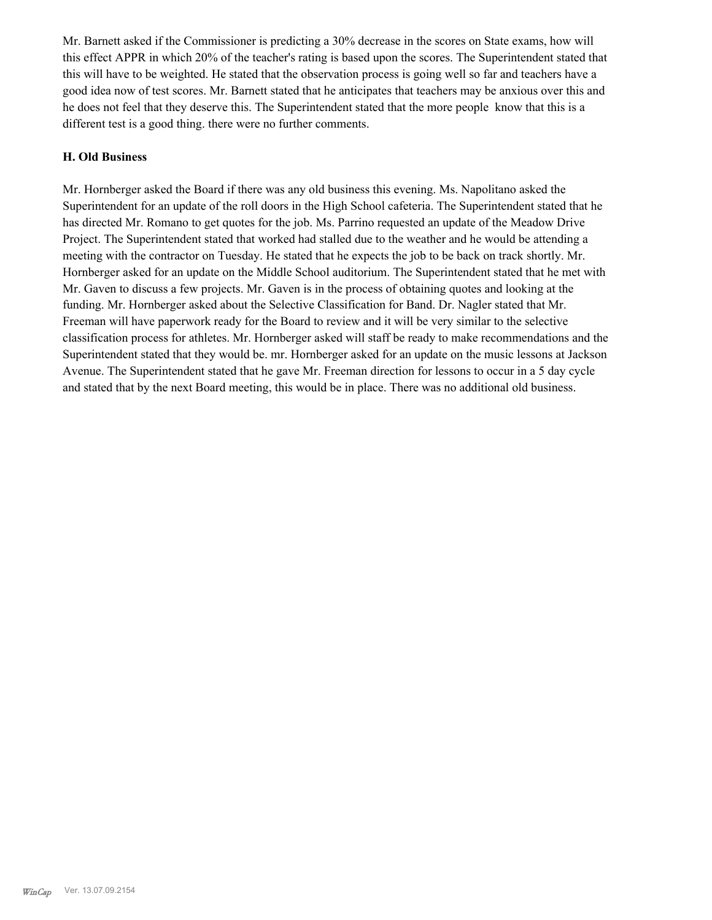Mr. Barnett asked if the Commissioner is predicting a 30% decrease in the scores on State exams, how will this effect APPR in which 20% of the teacher's rating is based upon the scores. The Superintendent stated that this will have to be weighted. He stated that the observation process is going well so far and teachers have a good idea now of test scores. Mr. Barnett stated that he anticipates that teachers may be anxious over this and he does not feel that they deserve this. The Superintendent stated that the more people know that this is a different test is a good thing. there were no further comments.

#### **H. Old Business**

Mr. Hornberger asked the Board if there was any old business this evening. Ms. Napolitano asked the Superintendent for an update of the roll doors in the High School cafeteria. The Superintendent stated that he has directed Mr. Romano to get quotes for the job. Ms. Parrino requested an update of the Meadow Drive Project. The Superintendent stated that worked had stalled due to the weather and he would be attending a meeting with the contractor on Tuesday. He stated that he expects the job to be back on track shortly. Mr. Hornberger asked for an update on the Middle School auditorium. The Superintendent stated that he met with Mr. Gaven to discuss a few projects. Mr. Gaven is in the process of obtaining quotes and looking at the funding. Mr. Hornberger asked about the Selective Classification for Band. Dr. Nagler stated that Mr. Freeman will have paperwork ready for the Board to review and it will be very similar to the selective classification process for athletes. Mr. Hornberger asked will staff be ready to make recommendations and the Superintendent stated that they would be. mr. Hornberger asked for an update on the music lessons at Jackson Avenue. The Superintendent stated that he gave Mr. Freeman direction for lessons to occur in a 5 day cycle and stated that by the next Board meeting, this would be in place. There was no additional old business.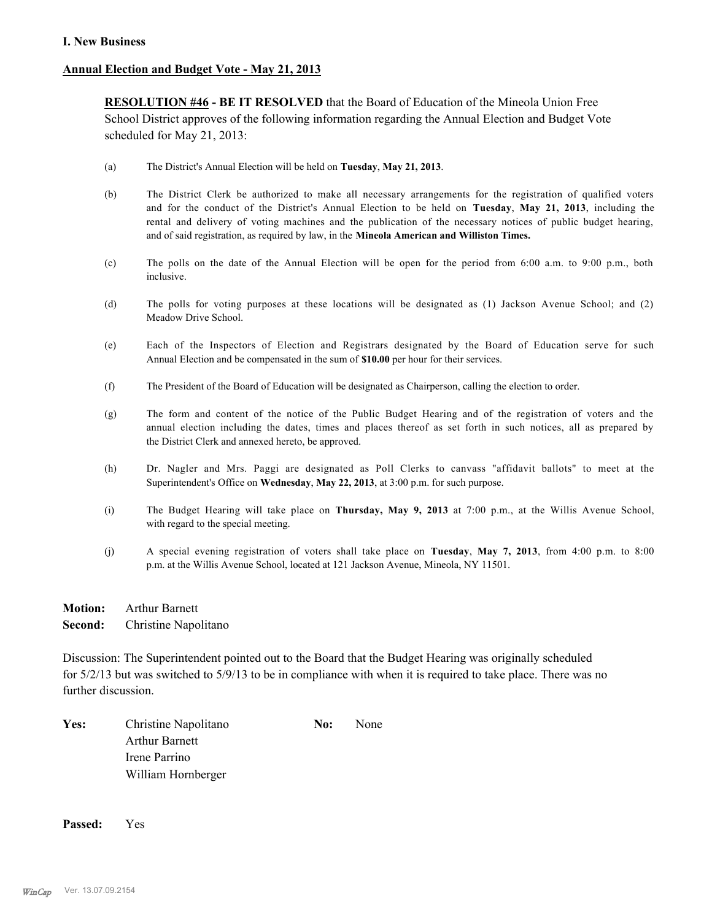### **Annual Election and Budget Vote - May 21, 2013**

**RESOLUTION #46 - BE IT RESOLVED** that the Board of Education of the Mineola Union Free School District approves of the following information regarding the Annual Election and Budget Vote scheduled for May 21, 2013:

- (a) The District's Annual Election will be held on **Tuesday**, **May 21, 2013**.
- (b) The District Clerk be authorized to make all necessary arrangements for the registration of qualified voters and for the conduct of the District's Annual Election to be held on **Tuesday**, **May 21, 2013**, including the rental and delivery of voting machines and the publication of the necessary notices of public budget hearing, and of said registration, as required by law, in the **Mineola American and Williston Times.**
- (c) The polls on the date of the Annual Election will be open for the period from 6:00 a.m. to 9:00 p.m., both inclusive.
- (d) The polls for voting purposes at these locations will be designated as (1) Jackson Avenue School; and (2) Meadow Drive School.
- (e) Each of the Inspectors of Election and Registrars designated by the Board of Education serve for such Annual Election and be compensated in the sum of **\$10.00** per hour for their services.
- (f) The President of the Board of Education will be designated as Chairperson, calling the election to order.
- (g) The form and content of the notice of the Public Budget Hearing and of the registration of voters and the annual election including the dates, times and places thereof as set forth in such notices, all as prepared by the District Clerk and annexed hereto, be approved.
- (h) Dr. Nagler and Mrs. Paggi are designated as Poll Clerks to canvass "affidavit ballots" to meet at the Superintendent's Office on **Wednesday**, **May 22, 2013**, at 3:00 p.m. for such purpose.
- (i) The Budget Hearing will take place on **Thursday, May 9, 2013** at 7:00 p.m., at the Willis Avenue School, with regard to the special meeting.
- (j) A special evening registration of voters shall take place on **Tuesday**, **May 7, 2013**, from 4:00 p.m. to 8:00 p.m. at the Willis Avenue School, located at 121 Jackson Avenue, Mineola, NY 11501.
- **Motion:** Arthur Barnett **Second:** Christine Napolitano

Discussion: The Superintendent pointed out to the Board that the Budget Hearing was originally scheduled for 5/2/13 but was switched to 5/9/13 to be in compliance with when it is required to take place. There was no further discussion.

**Yes:** Christine Napolitano **No:** None Arthur Barnett Irene Parrino William Hornberger

**Passed:** Yes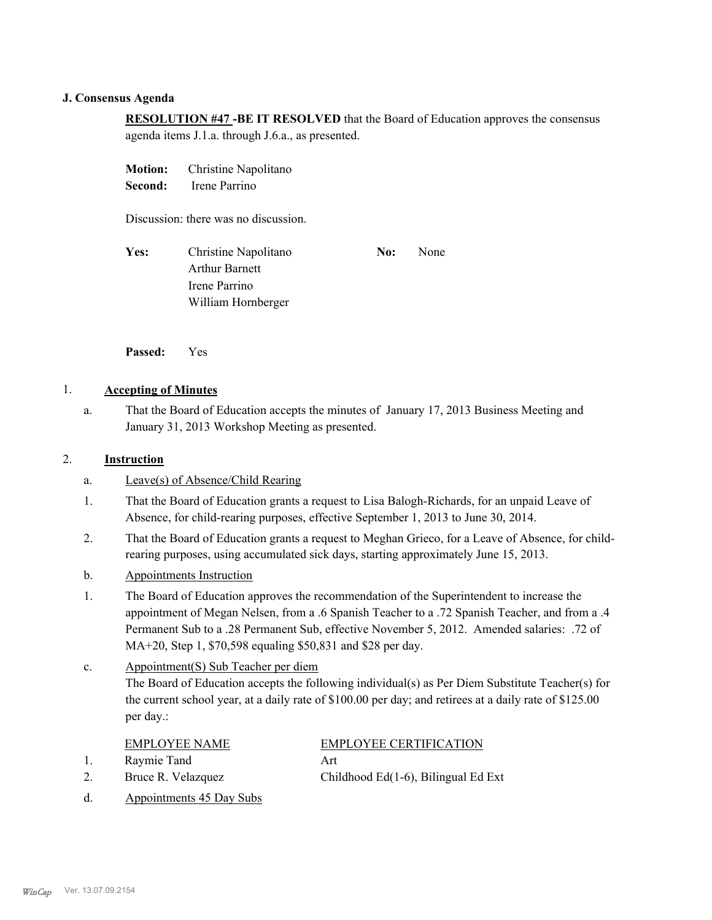#### **J. Consensus Agenda**

**RESOLUTION #47 -BE IT RESOLVED** that the Board of Education approves the consensus agenda items J.1.a. through J.6.a., as presented.

| <b>Motion:</b><br>Second:            | Christine Napolitano<br>Irene Parrino                                                |     |      |  |
|--------------------------------------|--------------------------------------------------------------------------------------|-----|------|--|
| Discussion: there was no discussion. |                                                                                      |     |      |  |
| Yes:                                 | Christine Napolitano<br><b>Arthur Barnett</b><br>Irene Parrino<br>William Hornberger | No: | None |  |

**Passed:** Yes

### 1. **Accepting of Minutes**

That the Board of Education accepts the minutes of January 17, 2013 Business Meeting and January 31, 2013 Workshop Meeting as presented. a.

### 2. **Instruction**

- a. Leave(s) of Absence/Child Rearing
- That the Board of Education grants a request to Lisa Balogh-Richards, for an unpaid Leave of Absence, for child-rearing purposes, effective September 1, 2013 to June 30, 2014. 1.
- That the Board of Education grants a request to Meghan Grieco, for a Leave of Absence, for childrearing purposes, using accumulated sick days, starting approximately June 15, 2013. 2.
- b. Appointments Instruction
- The Board of Education approves the recommendation of the Superintendent to increase the appointment of Megan Nelsen, from a .6 Spanish Teacher to a .72 Spanish Teacher, and from a .4 Permanent Sub to a .28 Permanent Sub, effective November 5, 2012. Amended salaries: .72 of MA+20, Step 1, \$70,598 equaling \$50,831 and \$28 per day. 1.

#### Appointment(S) Sub Teacher per diem The Board of Education accepts the following individual(s) as Per Diem Substitute Teacher(s) for the current school year, at a daily rate of \$100.00 per day; and retirees at a daily rate of \$125.00 per day.: c.

- 1. Raymie Tand Art
- 

# EMPLOYEE NAME EMPLOYEE CERTIFICATION

- 
- d. Appointments 45 Day Subs

2. Bruce R. Velazquez Childhood Ed(1-6), Bilingual Ed Ext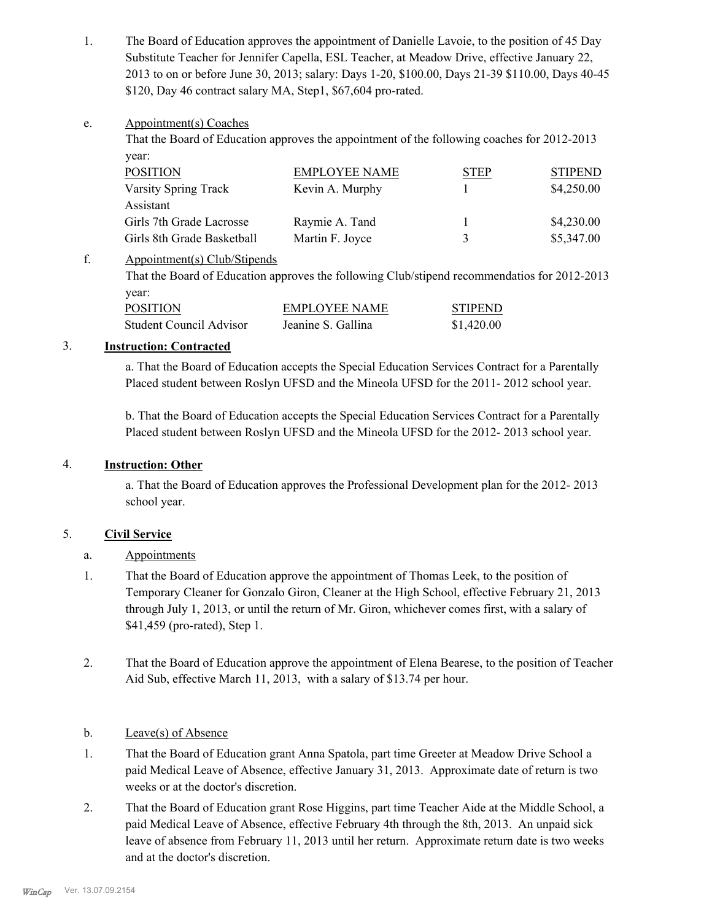The Board of Education approves the appointment of Danielle Lavoie, to the position of 45 Day Substitute Teacher for Jennifer Capella, ESL Teacher, at Meadow Drive, effective January 22, 2013 to on or before June 30, 2013; salary: Days 1-20, \$100.00, Days 21-39 \$110.00, Days 40-45 \$120, Day 46 contract salary MA, Step1, \$67,604 pro-rated. 1.

#### Appointment(s) Coaches e.

That the Board of Education approves the appointment of the following coaches for 2012-2013 year:

| <b>POSITION</b>            | <b>EMPLOYEE NAME</b> | <b>STEP</b> | <b>STIPEND</b> |
|----------------------------|----------------------|-------------|----------------|
| Varsity Spring Track       | Kevin A. Murphy      |             | \$4,250.00     |
| Assistant                  |                      |             |                |
| Girls 7th Grade Lacrosse   | Raymie A. Tand       |             | \$4,230.00     |
| Girls 8th Grade Basketball | Martin F. Joyce      | 3           | \$5,347.00     |

#### Appointment(s) Club/Stipends f.

That the Board of Education approves the following Club/stipend recommendatios for 2012-2013 year:

| POSITION                | <b>EMPLOYEE NAME</b> | <b>STIPEND</b> |
|-------------------------|----------------------|----------------|
| Student Council Advisor | Jeanine S. Gallina   | \$1,420.00     |

## 3. **Instruction: Contracted**

a. That the Board of Education accepts the Special Education Services Contract for a Parentally Placed student between Roslyn UFSD and the Mineola UFSD for the 2011- 2012 school year.

b. That the Board of Education accepts the Special Education Services Contract for a Parentally Placed student between Roslyn UFSD and the Mineola UFSD for the 2012- 2013 school year.

# 4. **Instruction: Other**

a. That the Board of Education approves the Professional Development plan for the 2012- 2013 school year.

# 5. **Civil Service**

# a. Appointments

- That the Board of Education approve the appointment of Thomas Leek, to the position of Temporary Cleaner for Gonzalo Giron, Cleaner at the High School, effective February 21, 2013 through July 1, 2013, or until the return of Mr. Giron, whichever comes first, with a salary of \$41,459 (pro-rated), Step 1. 1.
- That the Board of Education approve the appointment of Elena Bearese, to the position of Teacher Aid Sub, effective March 11, 2013, with a salary of \$13.74 per hour. 2.

# b. Leave(s) of Absence

- That the Board of Education grant Anna Spatola, part time Greeter at Meadow Drive School a paid Medical Leave of Absence, effective January 31, 2013. Approximate date of return is two weeks or at the doctor's discretion. 1.
- That the Board of Education grant Rose Higgins, part time Teacher Aide at the Middle School, a paid Medical Leave of Absence, effective February 4th through the 8th, 2013. An unpaid sick leave of absence from February 11, 2013 until her return. Approximate return date is two weeks and at the doctor's discretion. 2.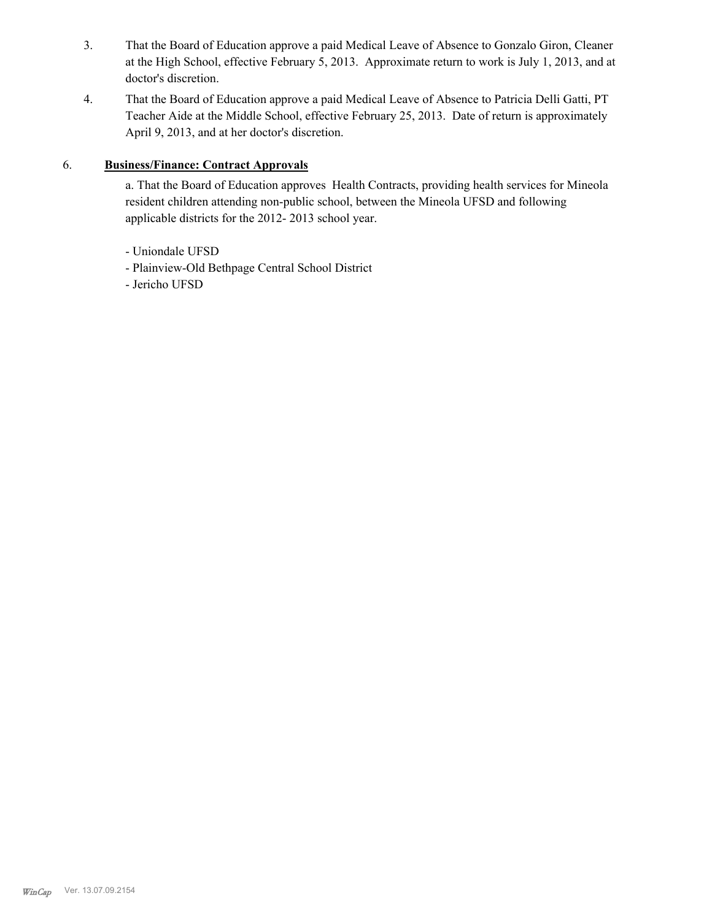- That the Board of Education approve a paid Medical Leave of Absence to Gonzalo Giron, Cleaner at the High School, effective February 5, 2013. Approximate return to work is July 1, 2013, and at doctor's discretion. 3.
- That the Board of Education approve a paid Medical Leave of Absence to Patricia Delli Gatti, PT Teacher Aide at the Middle School, effective February 25, 2013. Date of return is approximately April 9, 2013, and at her doctor's discretion. 4.

# 6. **Business/Finance: Contract Approvals**

a. That the Board of Education approves Health Contracts, providing health services for Mineola resident children attending non-public school, between the Mineola UFSD and following applicable districts for the 2012- 2013 school year.

- Uniondale UFSD
- Plainview-Old Bethpage Central School District
- Jericho UFSD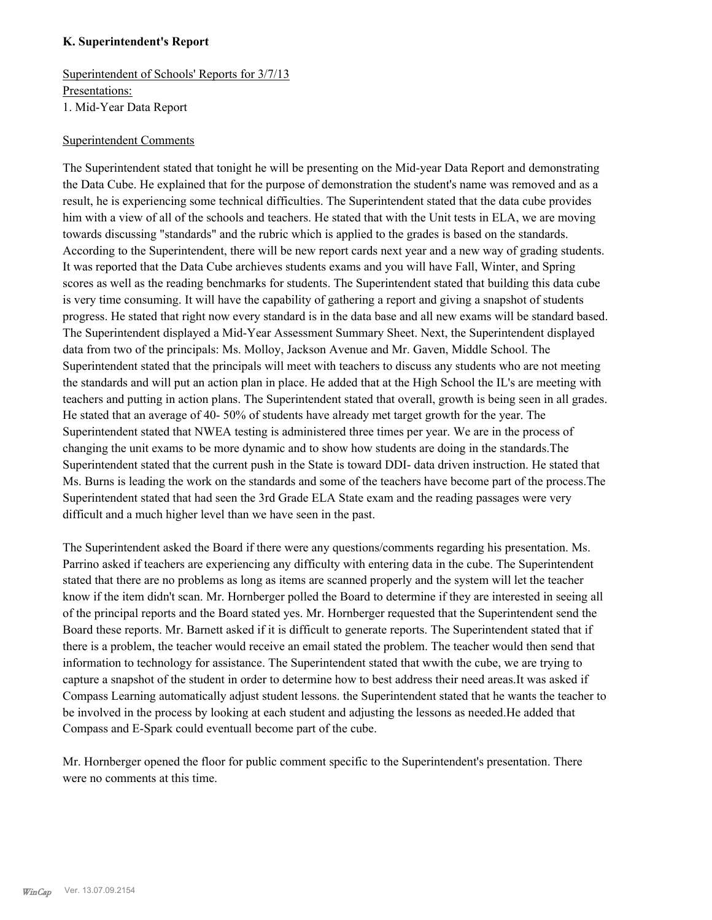#### **K. Superintendent's Report**

Superintendent of Schools' Reports for 3/7/13 Presentations: 1. Mid-Year Data Report

#### Superintendent Comments

The Superintendent stated that tonight he will be presenting on the Mid-year Data Report and demonstrating the Data Cube. He explained that for the purpose of demonstration the student's name was removed and as a result, he is experiencing some technical difficulties. The Superintendent stated that the data cube provides him with a view of all of the schools and teachers. He stated that with the Unit tests in ELA, we are moving towards discussing "standards" and the rubric which is applied to the grades is based on the standards. According to the Superintendent, there will be new report cards next year and a new way of grading students. It was reported that the Data Cube archieves students exams and you will have Fall, Winter, and Spring scores as well as the reading benchmarks for students. The Superintendent stated that building this data cube is very time consuming. It will have the capability of gathering a report and giving a snapshot of students progress. He stated that right now every standard is in the data base and all new exams will be standard based. The Superintendent displayed a Mid-Year Assessment Summary Sheet. Next, the Superintendent displayed data from two of the principals: Ms. Molloy, Jackson Avenue and Mr. Gaven, Middle School. The Superintendent stated that the principals will meet with teachers to discuss any students who are not meeting the standards and will put an action plan in place. He added that at the High School the IL's are meeting with teachers and putting in action plans. The Superintendent stated that overall, growth is being seen in all grades. He stated that an average of 40- 50% of students have already met target growth for the year. The Superintendent stated that NWEA testing is administered three times per year. We are in the process of changing the unit exams to be more dynamic and to show how students are doing in the standards.The Superintendent stated that the current push in the State is toward DDI- data driven instruction. He stated that Ms. Burns is leading the work on the standards and some of the teachers have become part of the process.The Superintendent stated that had seen the 3rd Grade ELA State exam and the reading passages were very difficult and a much higher level than we have seen in the past.

The Superintendent asked the Board if there were any questions/comments regarding his presentation. Ms. Parrino asked if teachers are experiencing any difficulty with entering data in the cube. The Superintendent stated that there are no problems as long as items are scanned properly and the system will let the teacher know if the item didn't scan. Mr. Hornberger polled the Board to determine if they are interested in seeing all of the principal reports and the Board stated yes. Mr. Hornberger requested that the Superintendent send the Board these reports. Mr. Barnett asked if it is difficult to generate reports. The Superintendent stated that if there is a problem, the teacher would receive an email stated the problem. The teacher would then send that information to technology for assistance. The Superintendent stated that wwith the cube, we are trying to capture a snapshot of the student in order to determine how to best address their need areas.It was asked if Compass Learning automatically adjust student lessons. the Superintendent stated that he wants the teacher to be involved in the process by looking at each student and adjusting the lessons as needed.He added that Compass and E-Spark could eventuall become part of the cube.

Mr. Hornberger opened the floor for public comment specific to the Superintendent's presentation. There were no comments at this time.